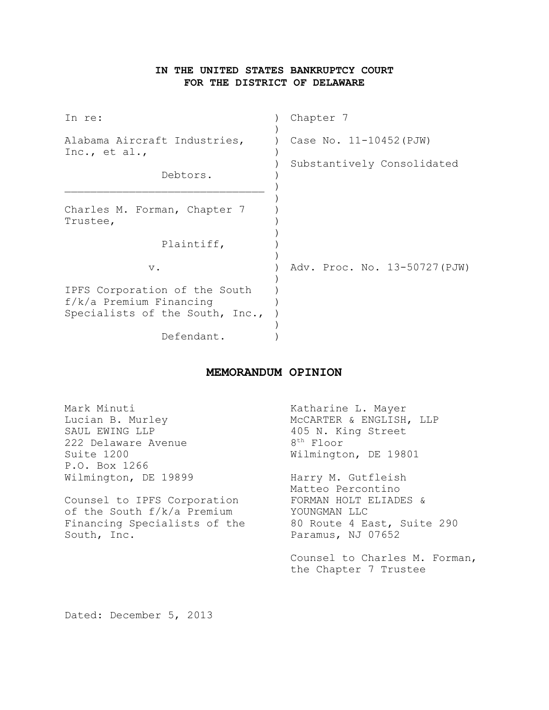# **IN THE UNITED STATES BANKRUPTCY COURT FOR THE DISTRICT OF DELAWARE**

| In re:                                                                                        | Chapter 7                     |  |  |
|-----------------------------------------------------------------------------------------------|-------------------------------|--|--|
| Alabama Aircraft Industries,<br>Inc., et al.,                                                 | Case No. 11-10452 (PJW)       |  |  |
| Debtors.                                                                                      | Substantively Consolidated    |  |  |
| Charles M. Forman, Chapter 7<br>Trustee,                                                      |                               |  |  |
| Plaintiff,                                                                                    |                               |  |  |
| $\mathbf v$ .                                                                                 | Adv. Proc. No. 13-50727 (PJW) |  |  |
| IPFS Corporation of the South<br>$f/k/a$ Premium Financing<br>Specialists of the South, Inc., |                               |  |  |
| Defendant.                                                                                    |                               |  |  |

# **MEMORANDUM OPINION**

| Mark Minuti<br>Lucian B. Murley<br>SAUL EWING LLP<br>222 Delaware Avenue | Katharine L. Mayer<br>MCCARTER & ENGLISH, LLP<br>405 N. King Street<br>$8th$ Floor |
|--------------------------------------------------------------------------|------------------------------------------------------------------------------------|
| Suite 1200                                                               | Wilmington, DE 19801                                                               |
| P.O. Box 1266                                                            |                                                                                    |
| Wilmington, DE 19899                                                     | Harry M. Gutfleish                                                                 |
|                                                                          | Matteo Percontino                                                                  |
| Counsel to IPFS Corporation                                              | FORMAN HOLT ELIADES &                                                              |
| of the South f/k/a Premium                                               | YOUNGMAN LLC                                                                       |
| Financing Specialists of the                                             | 80 Route 4 East, Suite 290                                                         |
| South, Inc.                                                              | Paramus, NJ 07652                                                                  |
|                                                                          | Counsel to Charles M. Forman,<br>the Chapter 7 Trustee                             |
|                                                                          |                                                                                    |

Dated: December 5, 2013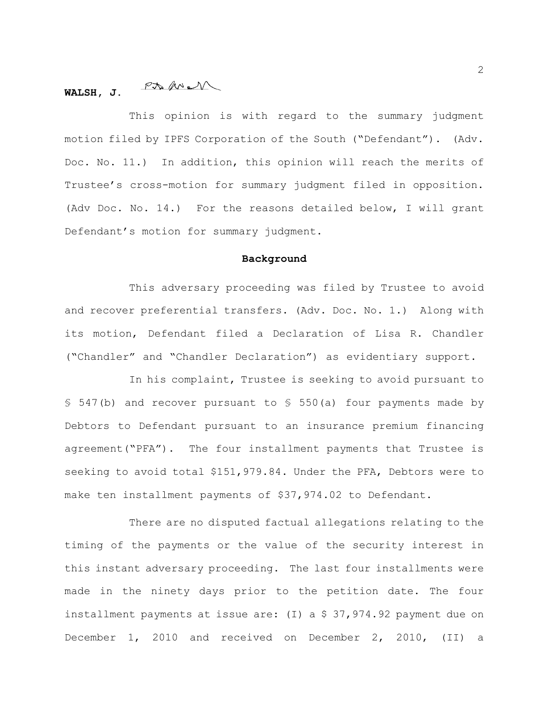#### $PMM$ **WALSH, J.**

This opinion is with regard to the summary judgment motion filed by IPFS Corporation of the South ("Defendant"). (Adv. Doc. No. 11.) In addition, this opinion will reach the merits of Trustee's cross-motion for summary judgment filed in opposition. (Adv Doc. No. 14.) For the reasons detailed below, I will grant Defendant's motion for summary judgment.

#### **Background**

This adversary proceeding was filed by Trustee to avoid and recover preferential transfers. (Adv. Doc. No. 1.) Along with its motion, Defendant filed a Declaration of Lisa R. Chandler ("Chandler" and "Chandler Declaration") as evidentiary support.

In his complaint, Trustee is seeking to avoid pursuant to § 547(b) and recover pursuant to § 550(a) four payments made by Debtors to Defendant pursuant to an insurance premium financing agreement("PFA"). The four installment payments that Trustee is seeking to avoid total \$151,979.84. Under the PFA, Debtors were to make ten installment payments of \$37,974.02 to Defendant.

There are no disputed factual allegations relating to the timing of the payments or the value of the security interest in this instant adversary proceeding. The last four installments were made in the ninety days prior to the petition date. The four installment payments at issue are: (I) a \$ 37,974.92 payment due on December 1, 2010 and received on December 2, 2010, (II) a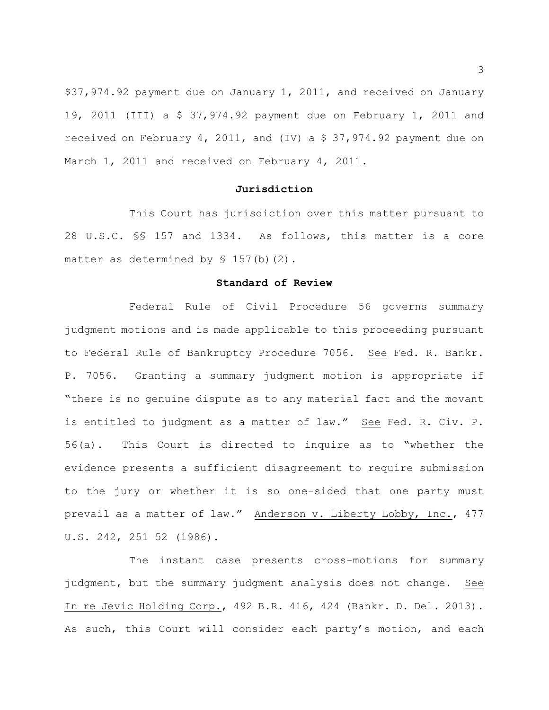\$37,974.92 payment due on January 1, 2011, and received on January 19, 2011 (III) a \$ 37,974.92 payment due on February 1, 2011 and received on February 4, 2011, and (IV) a \$ 37,974.92 payment due on March 1, 2011 and received on February 4, 2011.

#### **Jurisdiction**

This Court has jurisdiction over this matter pursuant to 28 U.S.C. §§ 157 and 1334. As follows, this matter is a core matter as determined by  $$ 157(b)(2)$ .

#### **Standard of Review**

Federal Rule of Civil Procedure 56 governs summary judgment motions and is made applicable to this proceeding pursuant to Federal Rule of Bankruptcy Procedure 7056. See Fed. R. Bankr. P. 7056. Granting a summary judgment motion is appropriate if "there is no genuine dispute as to any material fact and the movant is entitled to judgment as a matter of law." See Fed. R. Civ. P. 56(a). This Court is directed to inquire as to "whether the evidence presents a sufficient disagreement to require submission to the jury or whether it is so one-sided that one party must prevail as a matter of law." Anderson v. Liberty Lobby, Inc., 477 U.S. 242, 251–52 (1986).

The instant case presents cross-motions for summary judgment, but the summary judgment analysis does not change. See In re Jevic Holding Corp., 492 B.R. 416, 424 (Bankr. D. Del. 2013). As such, this Court will consider each party's motion, and each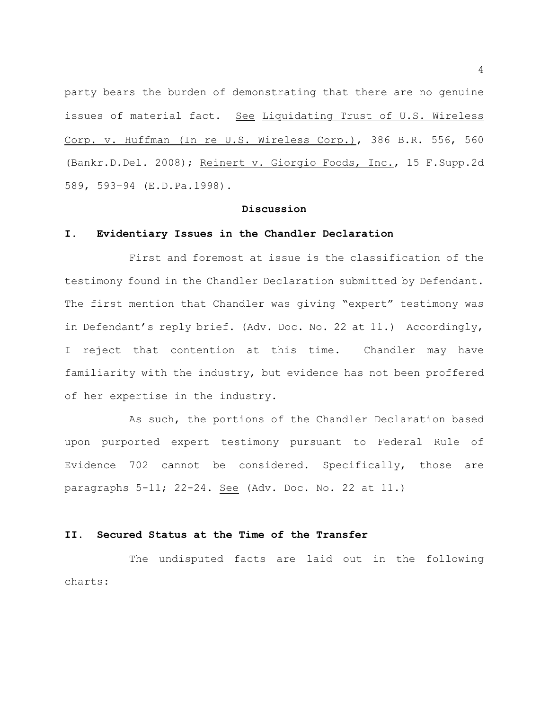party bears the burden of demonstrating that there are no genuine issues of material fact. See Liquidating Trust of U.S. Wireless Corp. v. Huffman (In re U.S. Wireless Corp.), 386 B.R. 556, 560 (Bankr.D.Del. 2008); Reinert v. Giorgio Foods, Inc., 15 F.Supp.2d 589, 593–94 (E.D.Pa.1998).

### **Discussion**

#### **I. Evidentiary Issues in the Chandler Declaration**

First and foremost at issue is the classification of the testimony found in the Chandler Declaration submitted by Defendant. The first mention that Chandler was giving "expert" testimony was in Defendant's reply brief. (Adv. Doc. No. 22 at 11.) Accordingly, I reject that contention at this time. Chandler may have familiarity with the industry, but evidence has not been proffered of her expertise in the industry.

As such, the portions of the Chandler Declaration based upon purported expert testimony pursuant to Federal Rule of Evidence 702 cannot be considered. Specifically, those are paragraphs 5-11; 22-24. See (Adv. Doc. No. 22 at 11.)

#### **II. Secured Status at the Time of the Transfer**

The undisputed facts are laid out in the following charts: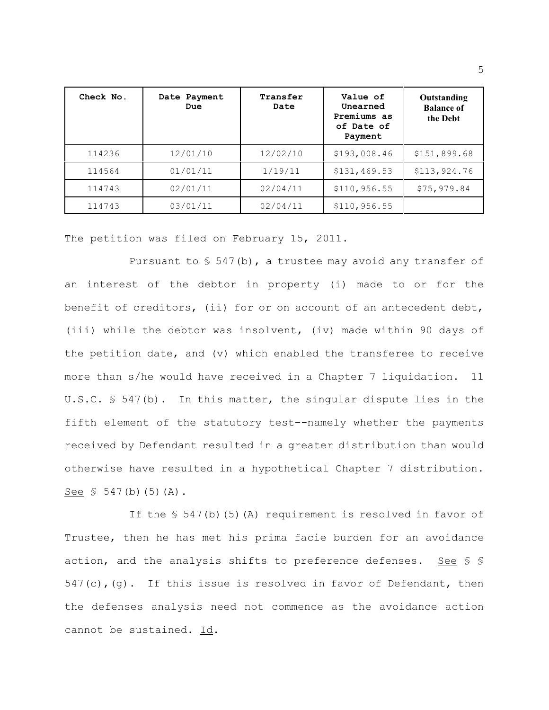| Check No. | Date Payment<br>Due | Transfer<br>Date | Value of<br>Unearned<br>Premiums as<br>of Date of<br>Payment | Outstanding<br><b>Balance of</b><br>the Debt |
|-----------|---------------------|------------------|--------------------------------------------------------------|----------------------------------------------|
| 114236    | 12/01/10            | 12/02/10         | \$193,008.46                                                 | \$151,899.68                                 |
| 114564    | 01/01/11            | 1/19/11          | \$131,469.53                                                 | \$113,924.76                                 |
| 114743    | 02/01/11            | 02/04/11         | \$110, 956.55                                                | \$75,979.84                                  |
| 114743    | 03/01/11            | 02/04/11         | \$110, 956.55                                                |                                              |

The petition was filed on February 15, 2011.

Pursuant to  $S$  547(b), a trustee may avoid any transfer of an interest of the debtor in property (i) made to or for the benefit of creditors, (ii) for or on account of an antecedent debt, (iii) while the debtor was insolvent, (iv) made within 90 days of the petition date, and (v) which enabled the transferee to receive more than s/he would have received in a Chapter 7 liquidation. 11 U.S.C.  $S$  547(b). In this matter, the singular dispute lies in the fifth element of the statutory test–-namely whether the payments received by Defendant resulted in a greater distribution than would otherwise have resulted in a hypothetical Chapter 7 distribution. See  $$547(b)(5)(A)$ .

If the  $$547(b)(5)(A)$  requirement is resolved in favor of Trustee, then he has met his prima facie burden for an avoidance action, and the analysis shifts to preference defenses. See § §  $547(c)$ , (g). If this issue is resolved in favor of Defendant, then the defenses analysis need not commence as the avoidance action cannot be sustained. Id.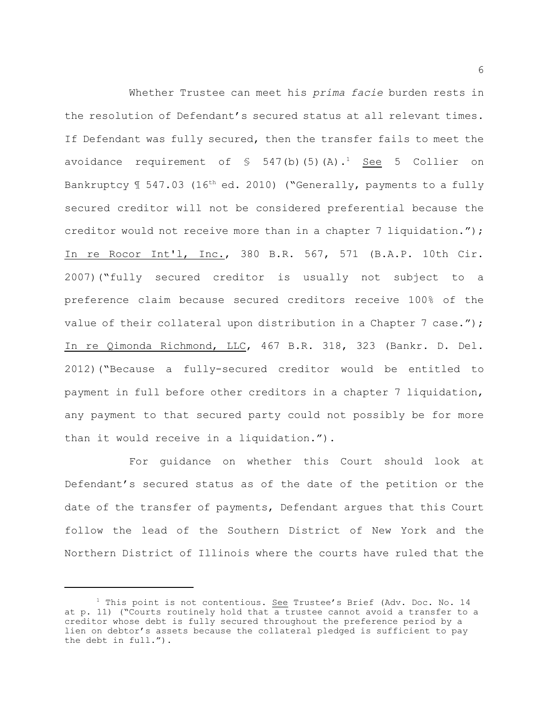Whether Trustee can meet his *prima facie* burden rests in the resolution of Defendant's secured status at all relevant times. If Defendant was fully secured, then the transfer fails to meet the avoidance requirement of  $\frac{1}{5}$  547(b)(5)(A).<sup>1</sup> See 5 Collier on Bankruptcy  $\text{\textsterling}$  547.03 (16<sup>th</sup> ed. 2010) ("Generally, payments to a fully secured creditor will not be considered preferential because the creditor would not receive more than in a chapter 7 liquidation."); In re Rocor Int'l, Inc., 380 B.R. 567, 571 (B.A.P. 10th Cir. 2007)("fully secured creditor is usually not subject to a preference claim because secured creditors receive 100% of the value of their collateral upon distribution in a Chapter 7 case."); In re Qimonda Richmond, LLC, 467 B.R. 318, 323 (Bankr. D. Del. 2012)("Because a fully-secured creditor would be entitled to payment in full before other creditors in a chapter 7 liquidation, any payment to that secured party could not possibly be for more than it would receive in a liquidation.").

For guidance on whether this Court should look at Defendant's secured status as of the date of the petition or the date of the transfer of payments, Defendant argues that this Court follow the lead of the Southern District of New York and the Northern District of Illinois where the courts have ruled that the

 $1$  This point is not contentious. See Trustee's Brief (Adv. Doc. No. 14 at p. 11) ("Courts routinely hold that a trustee cannot avoid a transfer to a creditor whose debt is fully secured throughout the preference period by a lien on debtor's assets because the collateral pledged is sufficient to pay the debt in full.").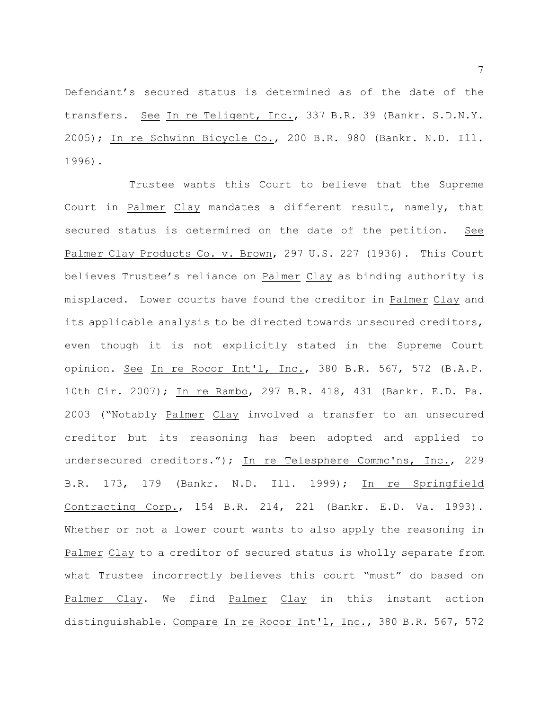Defendant's secured status is determined as of the date of the transfers. See In re Teligent, Inc., 337 B.R. 39 (Bankr. S.D.N.Y. 2005); In re Schwinn Bicycle Co., 200 B.R. 980 (Bankr. N.D. Ill. 1996).

Trustee wants this Court to believe that the Supreme Court in Palmer Clay mandates a different result, namely, that secured status is determined on the date of the petition. See Palmer Clay Products Co. v. Brown, 297 U.S. 227 (1936). This Court believes Trustee's reliance on Palmer Clay as binding authority is misplaced. Lower courts have found the creditor in Palmer Clay and its applicable analysis to be directed towards unsecured creditors, even though it is not explicitly stated in the Supreme Court opinion. See In re Rocor Int'l, Inc., 380 B.R. 567, 572 (B.A.P. 10th Cir. 2007); In re Rambo, 297 B.R. 418, 431 (Bankr. E.D. Pa. 2003 ("Notably Palmer Clay involved a transfer to an unsecured creditor but its reasoning has been adopted and applied to undersecured creditors."); In re Telesphere Commc'ns, Inc., 229 B.R. 173, 179 (Bankr. N.D. Ill. 1999); In re Springfield Contracting Corp., 154 B.R. 214, 221 (Bankr. E.D. Va. 1993). Whether or not a lower court wants to also apply the reasoning in Palmer Clay to a creditor of secured status is wholly separate from what Trustee incorrectly believes this court "must" do based on Palmer Clay. We find Palmer Clay in this instant action distinguishable. Compare In re Rocor Int'l, Inc., 380 B.R. 567, 572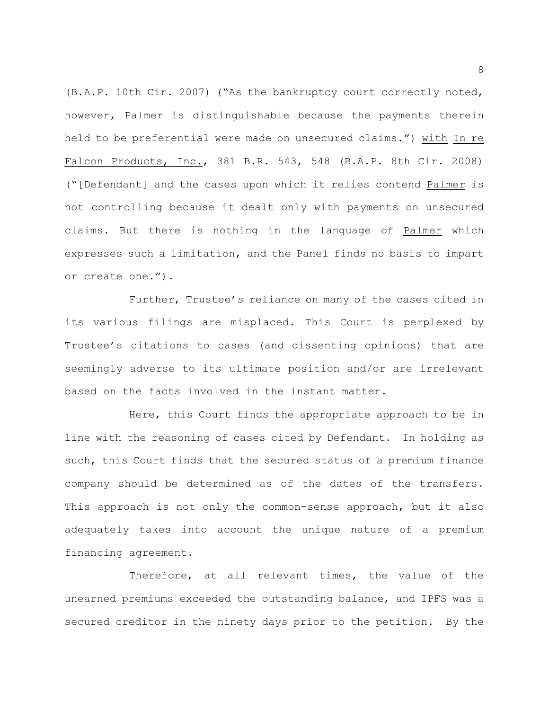(B.A.P. 10th Cir. 2007) ("As the bankruptcy court correctly noted, however, Palmer is distinguishable because the payments therein held to be preferential were made on unsecured claims.") with In re Falcon Products, Inc., 381 B.R. 543, 548 (B.A.P. 8th Cir. 2008) ("[Defendant] and the cases upon which it relies contend Palmer is not controlling because it dealt only with payments on unsecured claims. But there is nothing in the language of Palmer which expresses such a limitation, and the Panel finds no basis to impart or create one.").

Further, Trustee's reliance on many of the cases cited in its various filings are misplaced. This Court is perplexed by Trustee's citations to cases (and dissenting opinions) that are seemingly adverse to its ultimate position and/or are irrelevant based on the facts involved in the instant matter.

Here, this Court finds the appropriate approach to be in line with the reasoning of cases cited by Defendant. In holding as such, this Court finds that the secured status of a premium finance company should be determined as of the dates of the transfers. This approach is not only the common-sense approach, but it also adequately takes into account the unique nature of a premium financing agreement.

Therefore, at all relevant times, the value of the unearned premiums exceeded the outstanding balance, and IPFS was a secured creditor in the ninety days prior to the petition. By the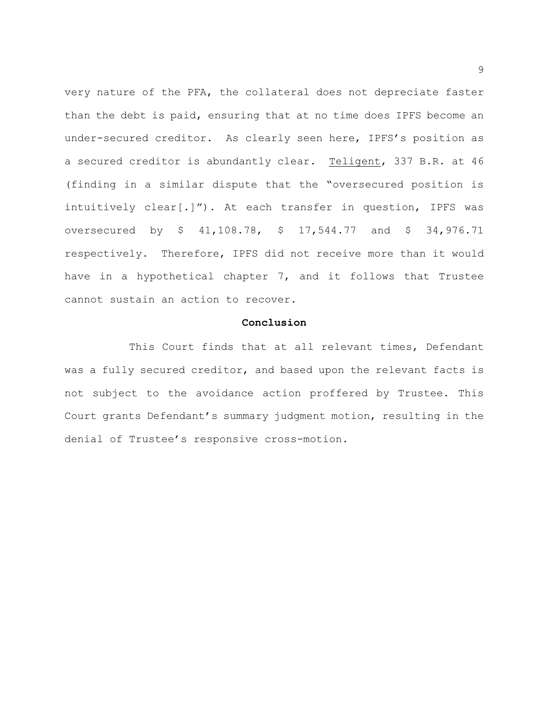very nature of the PFA, the collateral does not depreciate faster than the debt is paid, ensuring that at no time does IPFS become an under-secured creditor. As clearly seen here, IPFS's position as a secured creditor is abundantly clear. Teligent, 337 B.R. at 46 (finding in a similar dispute that the "oversecured position is intuitively clear[.]"). At each transfer in question, IPFS was oversecured by \$ 41,108.78, \$ 17,544.77 and \$ 34,976.71 respectively. Therefore, IPFS did not receive more than it would have in a hypothetical chapter 7, and it follows that Trustee cannot sustain an action to recover.

### **Conclusion**

This Court finds that at all relevant times, Defendant was a fully secured creditor, and based upon the relevant facts is not subject to the avoidance action proffered by Trustee. This Court grants Defendant's summary judgment motion, resulting in the denial of Trustee's responsive cross-motion.